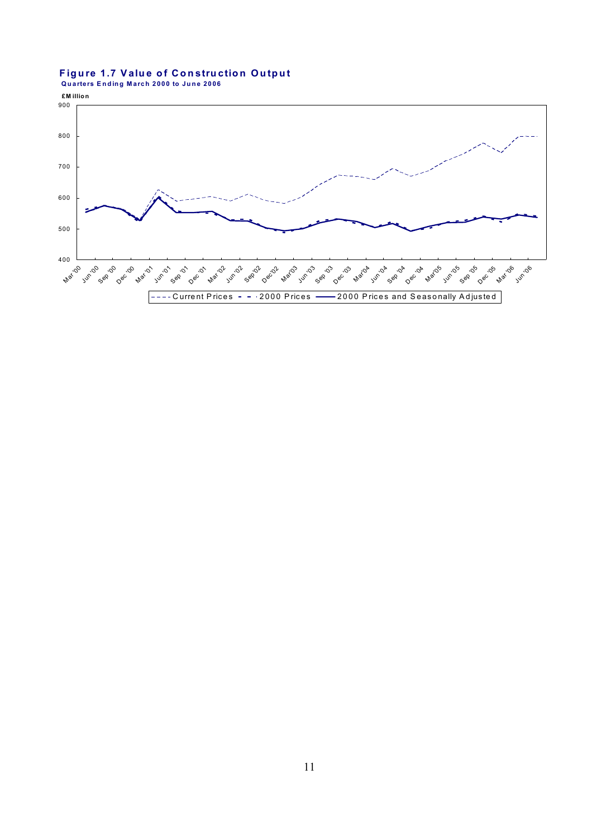# Figure 1.7 Value of Construction Output<br>Quarters Ending March 2000 to June 2006

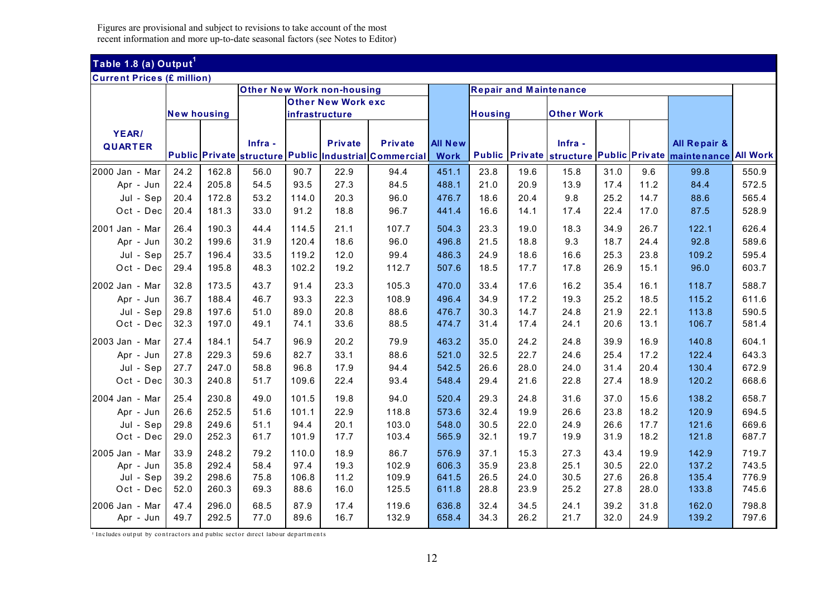## **Table 1.8 (a) Output<sup>1</sup>**

### **Current Prices (£ million)**

|                |                    |       |         | <b>Other New Work non-housing</b> |                           |                                                       |                |         |      | <b>Repair and Maintenance</b> |      |      |                                                              |       |
|----------------|--------------------|-------|---------|-----------------------------------|---------------------------|-------------------------------------------------------|----------------|---------|------|-------------------------------|------|------|--------------------------------------------------------------|-------|
|                |                    |       |         |                                   | <b>Other New Work exc</b> |                                                       |                |         |      |                               |      |      |                                                              |       |
|                | <b>New housing</b> |       |         | infrastructure                    |                           |                                                       |                | Housing |      | <b>Other Work</b>             |      |      |                                                              |       |
| YEAR/          |                    |       |         |                                   |                           |                                                       |                |         |      |                               |      |      |                                                              |       |
| <b>QUARTER</b> |                    |       | Infra - |                                   | <b>Private</b>            | <b>Private</b>                                        | <b>All New</b> |         |      | Infra -                       |      |      | <b>All Repair &amp;</b>                                      |       |
|                |                    |       |         |                                   |                           | Public Private structure Public Industrial Commercial | <b>Work</b>    |         |      |                               |      |      | Public Private structure Public Private maintenance All Work |       |
| 2000 Jan - Mar | 24.2               | 162.8 | 56.0    | 90.7                              | 22.9                      | 94.4                                                  | 451.1          | 23.8    | 19.6 | 15.8                          | 31.0 | 9.6  | 99.8                                                         | 550.9 |
| Apr - Jun      | 22.4               | 205.8 | 54.5    | 93.5                              | 27.3                      | 84.5                                                  | 488.1          | 21.0    | 20.9 | 13.9                          | 17.4 | 11.2 | 84.4                                                         | 572.5 |
| Jul - Sep      | 20.4               | 172.8 | 53.2    | 114.0                             | 20.3                      | 96.0                                                  | 476.7          | 18.6    | 20.4 | 9.8                           | 25.2 | 14.7 | 88.6                                                         | 565.4 |
| Oct - Dec      | 20.4               | 181.3 | 33.0    | 91.2                              | 18.8                      | 96.7                                                  | 441.4          | 16.6    | 14.1 | 17.4                          | 22.4 | 17.0 | 87.5                                                         | 528.9 |
| 2001 Jan - Mar | 26.4               | 190.3 | 44.4    | 114.5                             | 21.1                      | 107.7                                                 | 504.3          | 23.3    | 19.0 | 18.3                          | 34.9 | 26.7 | 122.1                                                        | 626.4 |
| Apr - Jun      | 30.2               | 199.6 | 31.9    | 120.4                             | 18.6                      | 96.0                                                  | 496.8          | 21.5    | 18.8 | 9.3                           | 18.7 | 24.4 | 92.8                                                         | 589.6 |
| Jul - Sep      | 25.7               | 196.4 | 33.5    | 119.2                             | 12.0                      | 99.4                                                  | 486.3          | 24.9    | 18.6 | 16.6                          | 25.3 | 23.8 | 109.2                                                        | 595.4 |
| Oct - Dec      | 29.4               | 195.8 | 48.3    | 102.2                             | 19.2                      | 112.7                                                 | 507.6          | 18.5    | 17.7 | 17.8                          | 26.9 | 15.1 | 96.0                                                         | 603.7 |
| 2002 Jan - Mar | 32.8               | 173.5 | 43.7    | 91.4                              | 23.3                      | 105.3                                                 | 470.0          | 33.4    | 17.6 | 16.2                          | 35.4 | 16.1 | 118.7                                                        | 588.7 |
| Apr - Jun      | 36.7               | 188.4 | 46.7    | 93.3                              | 22.3                      | 108.9                                                 | 496.4          | 34.9    | 17.2 | 19.3                          | 25.2 | 18.5 | 115.2                                                        | 611.6 |
| Jul - Sep      | 29.8               | 197.6 | 51.0    | 89.0                              | 20.8                      | 88.6                                                  | 476.7          | 30.3    | 14.7 | 24.8                          | 21.9 | 22.1 | 113.8                                                        | 590.5 |
| Oct - Dec      | 32.3               | 197.0 | 49.1    | 74.1                              | 33.6                      | 88.5                                                  | 474.7          | 31.4    | 17.4 | 24.1                          | 20.6 | 13.1 | 106.7                                                        | 581.4 |
| 2003 Jan - Mar | 27.4               | 184.1 | 54.7    | 96.9                              | 20.2                      | 79.9                                                  | 463.2          | 35.0    | 24.2 | 24.8                          | 39.9 | 16.9 | 140.8                                                        | 604.1 |
| Apr - Jun      | 27.8               | 229.3 | 59.6    | 82.7                              | 33.1                      | 88.6                                                  | 521.0          | 32.5    | 22.7 | 24.6                          | 25.4 | 17.2 | 122.4                                                        | 643.3 |
| Jul - Sep      | 27.7               | 247.0 | 58.8    | 96.8                              | 17.9                      | 94.4                                                  | 542.5          | 26.6    | 28.0 | 24.0                          | 31.4 | 20.4 | 130.4                                                        | 672.9 |
| Oct - Dec      | 30.3               | 240.8 | 51.7    | 109.6                             | 22.4                      | 93.4                                                  | 548.4          | 29.4    | 21.6 | 22.8                          | 27.4 | 18.9 | 120.2                                                        | 668.6 |
| 2004 Jan - Mar | 25.4               | 230.8 | 49.0    | 101.5                             | 19.8                      | 94.0                                                  | 520.4          | 29.3    | 24.8 | 31.6                          | 37.0 | 15.6 | 138.2                                                        | 658.7 |
| Apr - Jun      | 26.6               | 252.5 | 51.6    | 101.1                             | 22.9                      | 118.8                                                 | 573.6          | 32.4    | 19.9 | 26.6                          | 23.8 | 18.2 | 120.9                                                        | 694.5 |
| Jul - Sep      | 29.8               | 249.6 | 51.1    | 94.4                              | 20.1                      | 103.0                                                 | 548.0          | 30.5    | 22.0 | 24.9                          | 26.6 | 17.7 | 121.6                                                        | 669.6 |
| Oct - Dec      | 29.0               | 252.3 | 61.7    | 101.9                             | 17.7                      | 103.4                                                 | 565.9          | 32.1    | 19.7 | 19.9                          | 31.9 | 18.2 | 121.8                                                        | 687.7 |
| 2005 Jan - Mar | 33.9               | 248.2 | 79.2    | 110.0                             | 18.9                      | 86.7                                                  | 576.9          | 37.1    | 15.3 | 27.3                          | 43.4 | 19.9 | 142.9                                                        | 719.7 |
| Apr - Jun      | 35.8               | 292.4 | 58.4    | 97.4                              | 19.3                      | 102.9                                                 | 606.3          | 35.9    | 23.8 | 25.1                          | 30.5 | 22.0 | 137.2                                                        | 743.5 |
| Jul - Sep      | 39.2               | 298.6 | 75.8    | 106.8                             | 11.2                      | 109.9                                                 | 641.5          | 26.5    | 24.0 | 30.5                          | 27.6 | 26.8 | 135.4                                                        | 776.9 |
| Oct - Dec      | 52.0               | 260.3 | 69.3    | 88.6                              | 16.0                      | 125.5                                                 | 611.8          | 28.8    | 23.9 | 25.2                          | 27.8 | 28.0 | 133.8                                                        | 745.6 |
| 2006 Jan - Mar | 47.4               | 296.0 | 68.5    | 87.9                              | 17.4                      | 119.6                                                 | 636.8          | 32.4    | 34.5 | 24.1                          | 39.2 | 31.8 | 162.0                                                        | 798.8 |
| Apr - Jun      | 49.7               | 292.5 | 77.0    | 89.6                              | 16.7                      | 132.9                                                 | 658.4          | 34.3    | 26.2 | 21.7                          | 32.0 | 24.9 | 139.2                                                        | 797.6 |

<sup>1</sup> Includes output by contractors and public sector direct labour departments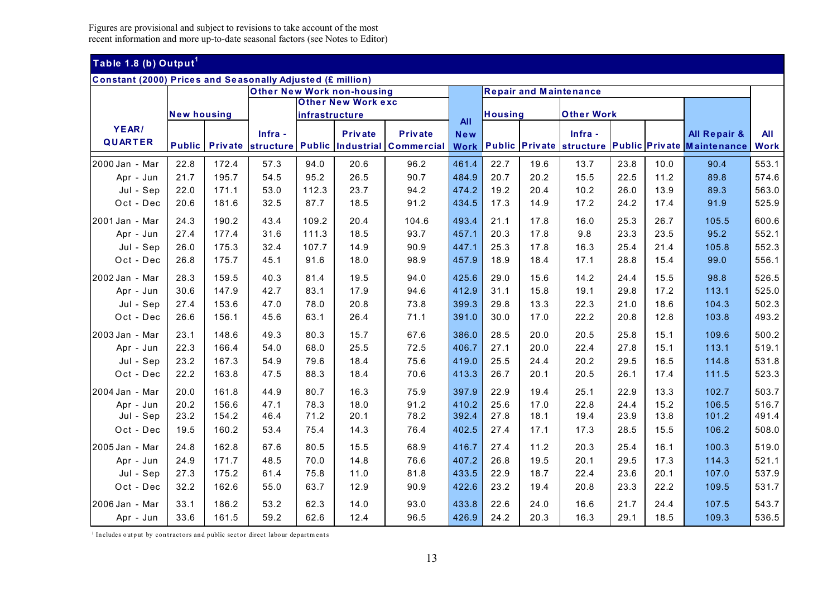### **Table 1.8 (b) Out put<sup>1</sup>**

| <b>Constant (2000) Prices and Seasonally Adjusted (£ million)</b> |                    |                |         |                |                                   |                                        |             |                |      |                               |      |      |                                                     |             |
|-------------------------------------------------------------------|--------------------|----------------|---------|----------------|-----------------------------------|----------------------------------------|-------------|----------------|------|-------------------------------|------|------|-----------------------------------------------------|-------------|
|                                                                   |                    |                |         |                | <b>Other New Work non-housing</b> |                                        |             |                |      | <b>Repair and Maintenance</b> |      |      |                                                     |             |
|                                                                   |                    |                |         |                | <b>Other New Work exc</b>         |                                        |             |                |      |                               |      |      |                                                     |             |
|                                                                   | <b>New housing</b> |                |         | infrastructure |                                   |                                        | <b>All</b>  | <b>Housina</b> |      | <b>Other Work</b>             |      |      |                                                     |             |
| YEAR/                                                             |                    |                | Infra - |                | <b>Private</b>                    | <b>Private</b>                         | New         |                |      | Infra -                       |      |      | <b>All Repair &amp;</b>                             | All         |
| <b>QUARTER</b>                                                    | <b>Public</b>      | <b>Private</b> |         |                |                                   | structure Public Industrial Commercial | <b>Work</b> |                |      |                               |      |      | Public Private structure Public Private Maintenance | <b>Work</b> |
| 2000 Jan - Mar                                                    | 22.8               | 172.4          | 57.3    | 94.0           | 20.6                              | 96.2                                   | 461.4       | 22.7           | 19.6 | 13.7                          | 23.8 | 10.0 | 90.4                                                | 553.1       |
| Apr - Jun                                                         | 21.7               | 195.7          | 54.5    | 95.2           | 26.5                              | 90.7                                   | 484.9       | 20.7           | 20.2 | 15.5                          | 22.5 | 11.2 | 89.8                                                | 574.6       |
| Jul - Sep                                                         | 22.0               | 171.1          | 53.0    | 112.3          | 23.7                              | 94.2                                   | 474.2       | 19.2           | 20.4 | 10.2                          | 26.0 | 13.9 | 89.3                                                | 563.0       |
| Oct - Dec                                                         | 20.6               | 181.6          | 32.5    | 87.7           | 18.5                              | 91.2                                   | 434.5       | 17.3           | 14.9 | 17.2                          | 24.2 | 17.4 | 91.9                                                | 525.9       |
| 2001 Jan - Mar                                                    | 24.3               | 190.2          | 43.4    | 109.2          | 20.4                              | 104.6                                  | 493.4       | 21.1           | 17.8 | 16.0                          | 25.3 | 26.7 | 105.5                                               | 600.6       |
| Apr - Jun                                                         | 27.4               | 177.4          | 31.6    | 111.3          | 18.5                              | 93.7                                   | 457.1       | 20.3           | 17.8 | 9.8                           | 23.3 | 23.5 | 95.2                                                | 552.1       |
| Jul - Sep                                                         | 26.0               | 175.3          | 32.4    | 107.7          | 14.9                              | 90.9                                   | 447.1       | 25.3           | 17.8 | 16.3                          | 25.4 | 21.4 | 105.8                                               | 552.3       |
| Oct - Dec                                                         | 26.8               | 175.7          | 45.1    | 91.6           | 18.0                              | 98.9                                   | 457.9       | 18.9           | 18.4 | 17.1                          | 28.8 | 15.4 | 99.0                                                | 556.1       |
|                                                                   |                    |                |         |                |                                   |                                        |             |                |      |                               |      |      |                                                     |             |
| 2002 Jan - Mar                                                    | 28.3               | 159.5          | 40.3    | 81.4           | 19.5                              | 94.0                                   | 425.6       | 29.0           | 15.6 | 14.2                          | 24.4 | 15.5 | 98.8                                                | 526.5       |
| Apr - Jun                                                         | 30.6               | 147.9          | 42.7    | 83.1           | 17.9                              | 94.6                                   | 412.9       | 31.1           | 15.8 | 19.1                          | 29.8 | 17.2 | 113.1                                               | 525.0       |
| Jul - Sep                                                         | 27.4               | 153.6          | 47.0    | 78.0           | 20.8                              | 73.8                                   | 399.3       | 29.8           | 13.3 | 22.3                          | 21.0 | 18.6 | 104.3                                               | 502.3       |
| Oct - Dec                                                         | 26.6               | 156.1          | 45.6    | 63.1           | 26.4                              | 71.1                                   | 391.0       | 30.0           | 17.0 | 22.2                          | 20.8 | 12.8 | 103.8                                               | 493.2       |
| 2003 Jan - Mar                                                    | 23.1               | 148.6          | 49.3    | 80.3           | 15.7                              | 67.6                                   | 386.0       | 28.5           | 20.0 | 20.5                          | 25.8 | 15.1 | 109.6                                               | 500.2       |
| Apr - Jun                                                         | 22.3               | 166.4          | 54.0    | 68.0           | 25.5                              | 72.5                                   | 406.7       | 27.1           | 20.0 | 22.4                          | 27.8 | 15.1 | 113.1                                               | 519.1       |
| Jul - Sep                                                         | 23.2               | 167.3          | 54.9    | 79.6           | 18.4                              | 75.6                                   | 419.0       | 25.5           | 24.4 | 20.2                          | 29.5 | 16.5 | 114.8                                               | 531.8       |
| Oct - Dec                                                         | 22.2               | 163.8          | 47.5    | 88.3           | 18.4                              | 70.6                                   | 413.3       | 26.7           | 20.1 | 20.5                          | 26.1 | 17.4 | 111.5                                               | 523.3       |
| 2004 Jan - Mar                                                    | 20.0               | 161.8          | 44.9    | 80.7           | 16.3                              | 75.9                                   | 397.9       | 22.9           | 19.4 | 25.1                          | 22.9 | 13.3 | 102.7                                               | 503.7       |
| Apr - Jun                                                         | 20.2               | 156.6          | 47.1    | 78.3           | 18.0                              | 91.2                                   | 410.2       | 25.6           | 17.0 | 22.8                          | 24.4 | 15.2 | 106.5                                               | 516.7       |
| Jul - Sep                                                         | 23.2               | 154.2          | 46.4    | 71.2           | 20.1                              | 78.2                                   | 392.4       | 27.8           | 18.1 | 19.4                          | 23.9 | 13.8 | 101.2                                               | 491.4       |
| Oct - Dec                                                         | 19.5               | 160.2          | 53.4    | 75.4           | 14.3                              | 76.4                                   | 402.5       | 27.4           | 17.1 | 17.3                          | 28.5 | 15.5 | 106.2                                               | 508.0       |
| 2005 Jan - Mar                                                    | 24.8               | 162.8          | 67.6    | 80.5           | 15.5                              | 68.9                                   | 416.7       | 27.4           | 11.2 | 20.3                          | 25.4 | 16.1 | 100.3                                               | 519.0       |
| Apr - Jun                                                         | 24.9               | 171.7          | 48.5    | 70.0           | 14.8                              | 76.6                                   | 407.2       | 26.8           | 19.5 | 20.1                          | 29.5 | 17.3 | 114.3                                               | 521.1       |
| Jul - Sep                                                         | 27.3               | 175.2          | 61.4    | 75.8           | 11.0                              | 81.8                                   | 433.5       | 22.9           | 18.7 | 22.4                          | 23.6 | 20.1 | 107.0                                               | 537.9       |
| Oct - Dec                                                         | 32.2               | 162.6          | 55.0    | 63.7           | 12.9                              | 90.9                                   | 422.6       | 23.2           | 19.4 | 20.8                          | 23.3 | 22.2 | 109.5                                               | 531.7       |
| 2006 Jan - Mar                                                    | 33.1               | 186.2          | 53.2    | 62.3           | 14.0                              | 93.0                                   | 433.8       | 22.6           | 24.0 | 16.6                          | 21.7 | 24.4 | 107.5                                               | 543.7       |
| Apr - Jun                                                         | 33.6               | 161.5          | 59.2    | 62.6           | 12.4                              | 96.5                                   | 426.9       | 24.2           | 20.3 | 16.3                          | 29.1 | 18.5 | 109.3                                               | 536.5       |

 $1$  Includes output by contractors and public sector direct labour departments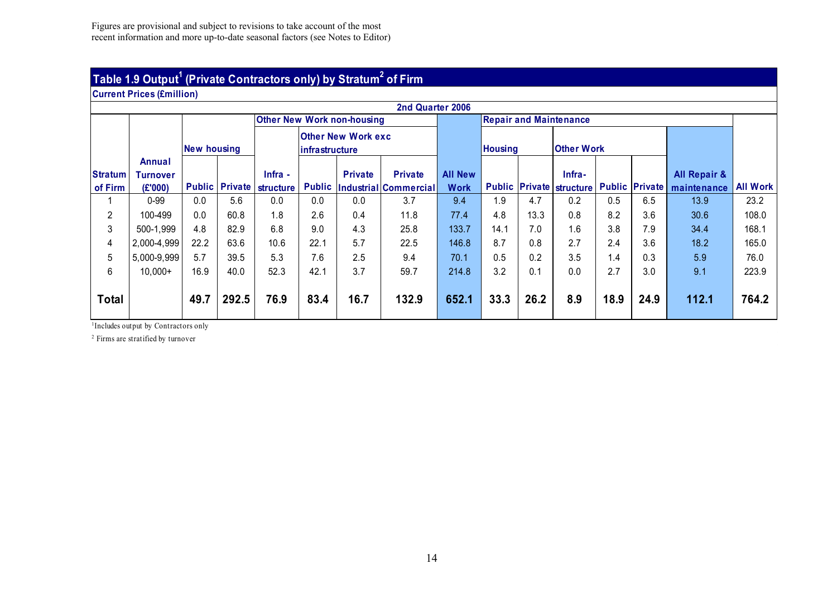### **Table 1.9 Output1 (Private Contractors only) b y Stratum2 of Firm**

**Current Prices (£million)** 

|                           | 2nd Quarter 2006<br><b>Other New Work non-housing</b><br><b>Repair and Maintenance</b> |                    |                       |                             |               |                                             |                                         |                               |                |      |                                           |      |                       |                                        |                 |
|---------------------------|----------------------------------------------------------------------------------------|--------------------|-----------------------|-----------------------------|---------------|---------------------------------------------|-----------------------------------------|-------------------------------|----------------|------|-------------------------------------------|------|-----------------------|----------------------------------------|-----------------|
|                           |                                                                                        |                    |                       |                             |               |                                             |                                         |                               |                |      |                                           |      |                       |                                        |                 |
|                           |                                                                                        | <b>New housing</b> |                       |                             |               | <b>Other New Work exc</b><br>infrastructure |                                         |                               | <b>Housing</b> |      | <b>Other Work</b>                         |      |                       |                                        |                 |
| <b>Stratum</b><br>of Firm | Annual<br><b>Turnover</b><br>(E'000)                                                   |                    | <b>Public Private</b> | Infra -<br><b>structure</b> | <b>Public</b> | <b>Private</b>                              | <b>Private</b><br>Industrial Commercial | <b>All New</b><br><b>Work</b> |                |      | Infra-<br><b>Public Private structure</b> |      | <b>Public Private</b> | <b>All Repair &amp;</b><br>maintenance | <b>All Work</b> |
|                           | $0 - 99$                                                                               | 0.0                | 5.6                   | 0.0                         | 0.0           | 0.0                                         | 3.7                                     | 9.4                           | 1.9            | 4.7  | 0.2                                       | 0.5  | 6.5                   | 13.9                                   | 23.2            |
| $\overline{2}$            | 100-499                                                                                | 0.0                | 60.8                  | 1.8                         | 2.6           | 0.4                                         | 11.8                                    | 77.4                          | 4.8            | 13.3 | 0.8                                       | 8.2  | 3.6                   | 30.6                                   | 108.0           |
| 3                         | 500-1,999                                                                              | 4.8                | 82.9                  | 6.8                         | 9.0           | 4.3                                         | 25.8                                    | 133.7                         | 14.1           | 7.0  | 1.6                                       | 3.8  | 7.9                   | 34.4                                   | 168.1           |
| 4                         | 2,000-4,999                                                                            | 22.2               | 63.6                  | 10.6                        | 22.1          | 5.7                                         | 22.5                                    | 146.8                         | 8.7            | 0.8  | 2.7                                       | 2.4  | 3.6                   | 18.2                                   | 165.0           |
| 5                         | 5,000-9,999                                                                            | 5.7                | 39.5                  | 5.3                         | 7.6           | 2.5                                         | 9.4                                     | 70.1                          | 0.5            | 0.2  | 3.5                                       | 1.4  | 0.3                   | 5.9                                    | 76.0            |
| 6                         | $10,000+$                                                                              | 16.9               | 40.0                  | 52.3                        | 42.1          | 3.7                                         | 59.7                                    | 214.8                         | 3.2            | 0.1  | 0.0                                       | 2.7  | 3.0                   | 9.1                                    | 223.9           |
| <b>Total</b>              |                                                                                        | 49.7               | 292.5                 | 76.9                        | 83.4          | 16.7                                        | 132.9                                   | 652.1                         | 33.3           | 26.2 | 8.9                                       | 18.9 | 24.9                  | 112.1                                  | 764.2           |

<sup>1</sup>Includes output by Contractors only

2 Firms are stratified by turnover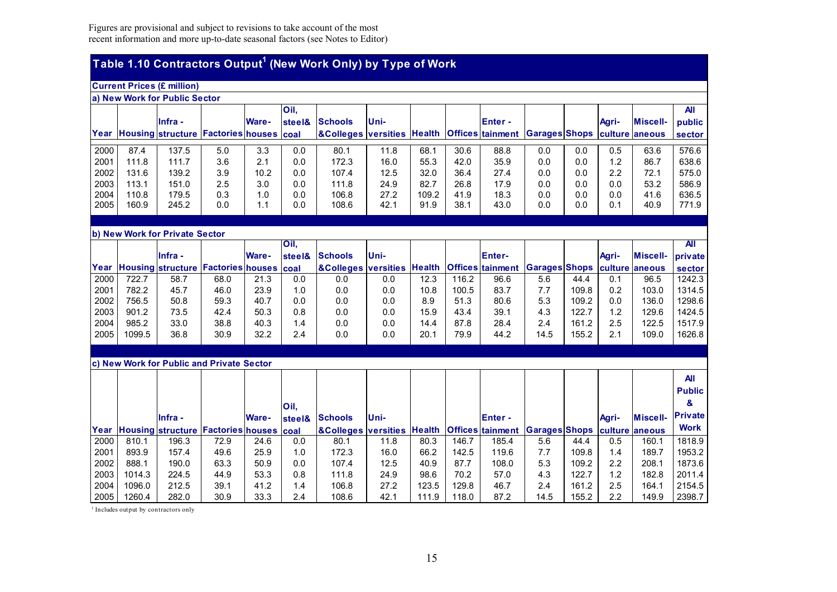# **Table 1.10 Contractors Output1 (New Work Only) by Type of Work**

|      | <b>Current Prices (£ million)</b> |                                         |     |              |        |                                                        |       |       |      |                |                              |     |                  |                 |            |
|------|-----------------------------------|-----------------------------------------|-----|--------------|--------|--------------------------------------------------------|-------|-------|------|----------------|------------------------------|-----|------------------|-----------------|------------|
|      | a) New Work for Public Sector     |                                         |     |              |        |                                                        |       |       |      |                |                              |     |                  |                 |            |
|      |                                   |                                         |     |              | Oil.   |                                                        |       |       |      |                |                              |     |                  |                 | <b>All</b> |
|      |                                   | llnfra -                                |     | <b>Ware-</b> | steel& | <b>Schools</b>                                         | lUni- |       |      | <b>IEnter-</b> |                              |     | Agri-            | <b>Miscell-</b> | public     |
| Year |                                   | Housing structure Factories houses coal |     |              |        | <b>&amp;Colleges versities Health Offices tainment</b> |       |       |      |                | Garages Shops culture aneous |     |                  |                 | sector     |
|      |                                   |                                         |     |              |        |                                                        |       |       |      |                |                              |     |                  |                 |            |
| 2000 | 87.4                              | 137.5                                   | 5.0 | 3.3          | 0.0    | 80.1                                                   | 11.8  | 68.1  | 30.6 | 88.8           | 0.0                          | 0.0 | 0.5              | 63.6            | 576.6      |
| 2001 | 111.8                             | 111.7                                   | 3.6 | 2.1          | 0.0    | 172.3                                                  | 16.0  | 55.3  | 42.0 | 35.9           | 0.0                          | 0.0 | 1.2 <sub>2</sub> | 86.7            | 638.6      |
| 2002 | 131.6                             | 139.2                                   | 3.9 | 10.2         | 0.0    | 107.4                                                  | 12.5  | 32.0  | 36.4 | 27.4           | 0.0                          | 0.0 | 2.2              | 72.1            | 575.0      |
| 2003 | 113.1                             | 151.0                                   | 2.5 | 3.0          | 0.0    | 111.8                                                  | 24.9  | 82.7  | 26.8 | 17.9           | 0.0                          | 0.0 | 0.0              | 53.2            | 586.9      |
| 2004 | 110.8                             | 179.5                                   | 0.3 | 1.0          | 0.0    | 106.8                                                  | 27.2  | 109.2 | 41.9 | 18.3           | 0.0                          | 0.0 | 0.0              | 41.6            | 636.5      |
| 2005 | 160.9                             | 245.2                                   | 0.0 | 1.1          | 0.0    | 108.6                                                  | 42.1  | 91.9  | 38.1 | 43.0           | 0.0                          | 0.0 | 0.1              | 40.9            | 771.9      |

**b) New Work for Private Sector** 

|      |        |                                              |      |              | Oil.   |                                                        |             |      |       |               |                              |       |                  |                 | All     |
|------|--------|----------------------------------------------|------|--------------|--------|--------------------------------------------------------|-------------|------|-------|---------------|------------------------------|-------|------------------|-----------------|---------|
|      |        | <b>Infra</b> -                               |      | <b>Ware-</b> | steel& | <b>Schools</b>                                         | <b>Uni-</b> |      |       | <b>Enter-</b> |                              |       | Agri-            | <b>Miscell-</b> | private |
|      |        | Year Housing structure Factories houses coal |      |              |        | <b>&amp;Colleges versities Health Offices tainment</b> |             |      |       |               | Garages Shops culture aneous |       |                  |                 | sector  |
| 2000 | 722.7  | 58.7                                         | 68.0 | 21.3         | 0.0    | 0.0                                                    | 0.0         | 12.3 | 116.2 | 96.6          | 5.6                          | 44.4  | 0.1              | 96.5            | 1242.3  |
| 2001 | 782.2  | 45.7                                         | 46.0 | 23.9         | 1.0    | 0.0                                                    | 0.0         | 10.8 | 100.5 | 83.7          | 7.7                          | 109.8 | 0.2              | 103.0           | 1314.5  |
| 2002 | 756.5  | 50.8                                         | 59.3 | 40.7         | 0.0    | 0.0                                                    | 0.0         | 8.9  | 51.3  | 80.6          | 5.3                          | 109.2 | 0.0              | 136.0           | 1298.6  |
| 2003 | 901.2  | 73.5                                         | 42.4 | 50.3         | 0.8    | 0.0                                                    | 0.0         | 15.9 | 43.4  | 39.1          | 4.3                          | 122.7 | $\overline{1.2}$ | 129.6           | 1424.5  |
| 2004 | 985.2  | 33.0                                         | 38.8 | 40.3         | 1.4    | 0.0                                                    | 0.0         | 14.4 | 87.8  | 28.4          | 2.4                          | 161.2 | 2.5              | 122.5           | 1517.9  |
| 2005 | 1099.5 | 36.8                                         | 30.9 | 32.2         | 2.4    | 0.0                                                    | 0.0         | 20.1 | 79.9  | 44.2          | 14.5                         | 155.2 | 2.1              | 109.0           | 1626.8  |
|      |        |                                              |      |              |        |                                                        |             |      |       |               |                              |       |                  |                 |         |

#### **c) New Work for Public and Private Sector**

|      |        | Infra -                                      |      | <b>Ware-</b> | Oil.<br>steel& | <b>Schools</b>             | <b>IUni-</b> |       |       | <b>IEnter-</b>                                       |      |       | Agri- | <b>Miscell-</b> | <b>All</b><br><b>Public</b><br>&<br><b>Private</b> |
|------|--------|----------------------------------------------|------|--------------|----------------|----------------------------|--------------|-------|-------|------------------------------------------------------|------|-------|-------|-----------------|----------------------------------------------------|
|      |        | Year Housing structure Factories houses coal |      |              |                | <b>AColleges versities</b> |              |       |       | Health Offices tainment Garages Shops culture aneous |      |       |       |                 | <b>Work</b>                                        |
| 2000 | 810.1  | 196.3                                        | 72.9 | 24.6         | 0.0            | 80.1                       | 11.8         | 80.3  | 146.7 | 185.4                                                | 5.6  | 44.4  | 0.5   | 160.1           | 1818.9                                             |
| 2001 | 893.9  | 157.4                                        | 49.6 | 25.9         | 1.0            | 172.3                      | 16.0         | 66.2  | 142.5 | 119.6                                                | 7.7  | 109.8 | 1.4   | 189.7           | 1953.2                                             |
| 2002 | 888.1  | 190.0                                        | 63.3 | 50.9         | 0.0            | 107.4                      | 12.5         | 40.9  | 87.7  | 108.0                                                | 5.3  | 109.2 | 2.2   | 208.1           | 1873.6                                             |
| 2003 | 1014.3 | 224.5                                        | 44.9 | 53.3         | 0.8            | 111.8                      | 24.9         | 98.6  | 70.2  | 57.0                                                 | 4.3  | 122.7 | 1.2   | 182.8           | 2011.4                                             |
| 2004 | 1096.0 | 212.5                                        | 39.1 | 41.2         | 1.4            | 106.8                      | 27.2         | 123.5 | 129.8 | 46.7                                                 | 2.4  | 161.2 | 2.5   | 164.1           | 2154.5                                             |
| 2005 | 1260.4 | 282.0                                        | 30.9 | 33.3         | 2.4            | 108.6                      | 42.1         | 111.9 | 118.0 | 87.2                                                 | 14.5 | 155.2 | 2.2   | 149.9           | 2398.7                                             |

1 Includes output by contractors only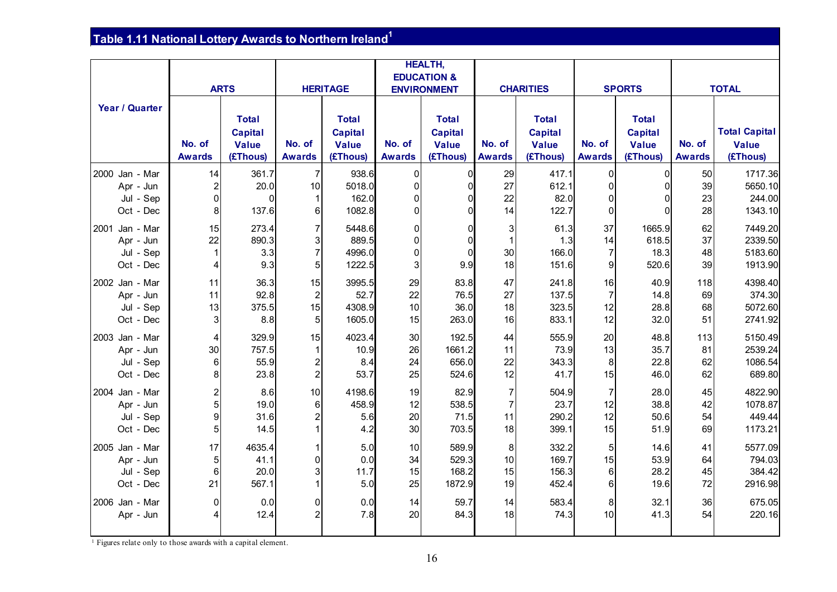# **Table 1.11 National Lottery Awards to Northern Ireland<sup>1</sup>**

|                |                 |                |                         |                 |               | <b>HEALTH,</b>         |                |                  |                |               |               |                      |
|----------------|-----------------|----------------|-------------------------|-----------------|---------------|------------------------|----------------|------------------|----------------|---------------|---------------|----------------------|
|                |                 |                |                         |                 |               | <b>EDUCATION &amp;</b> |                |                  |                |               |               |                      |
|                |                 | <b>ARTS</b>    |                         | <b>HERITAGE</b> |               | <b>ENVIRONMENT</b>     |                | <b>CHARITIES</b> |                | <b>SPORTS</b> |               | <b>TOTAL</b>         |
| Year / Quarter |                 |                |                         |                 |               |                        |                |                  |                |               |               |                      |
|                |                 | <b>Total</b>   |                         | <b>Total</b>    |               | <b>Total</b>           |                | <b>Total</b>     |                | <b>Total</b>  |               |                      |
|                |                 | <b>Capital</b> |                         | Capital         |               | <b>Capital</b>         |                | <b>Capital</b>   |                | Capital       |               | <b>Total Capital</b> |
|                | No. of          | <b>Value</b>   | No. of                  | <b>Value</b>    | No. of        | <b>Value</b>           | No. of         | <b>Value</b>     | No. of         | <b>Value</b>  | No. of        | <b>Value</b>         |
|                | <b>Awards</b>   | (£Thous)       | <b>Awards</b>           | (£Thous)        | <b>Awards</b> | (£Thous)               | <b>Awards</b>  | (£Thous)         | <b>Awards</b>  | (£Thous)      | <b>Awards</b> | (£Thous)             |
| 2000 Jan - Mar | 14              | 361.7          | 7                       | 938.6           | 0             | $\mathbf{0}$           | 29             | 417.1            | $\overline{0}$ | $\Omega$      | 50            | 1717.36              |
| Apr - Jun      | $\overline{2}$  | 20.0           | 10                      | 5018.0          | 0             | $\Omega$               | 27             | 612.1            | $\overline{0}$ |               | 39            | 5650.10              |
| Jul - Sep      | $\overline{0}$  | $\Omega$       |                         | 162.0           | 0             | $\Omega$               | 22             | 82.0             | $\overline{0}$ |               | 23            | 244.00               |
| Oct - Dec      | 8               | 137.6          | 61                      | 1082.8          | 0             | ∩                      | 14             | 122.7            | $\overline{0}$ |               | 28            | 1343.10              |
|                |                 |                |                         |                 |               |                        |                |                  |                |               |               |                      |
| 2001 Jan - Mar | 15              | 273.4          | 7                       | 5448.6          | 0             | $\Omega$               | 3              | 61.3             | 37             | 1665.9        | 62            | 7449.20              |
| Apr - Jun      | 22              | 890.3          | $\overline{3}$          | 889.5           | $\mathbf 0$   | $\Omega$               | $\overline{1}$ | 1.3              | 14             | 618.5         | 37            | 2339.50              |
| Jul - Sep      |                 | 3.3            | $\overline{7}$          | 4996.0          | $\mathbf 0$   | $\Omega$               | 30             | 166.0            | $\overline{7}$ | 18.3          | 48            | 5183.60              |
| Oct - Dec      | 4               | 9.3            | 5 <sup>1</sup>          | 1222.5          | 3             | 9.9                    | 18             | 151.6            | 9              | 520.6         | 39            | 1913.90              |
| 2002 Jan - Mar | 11              | 36.3           | 15                      | 3995.5          | 29            | 83.8                   | 47             | 241.8            | 16             | 40.9          | 118           | 4398.40              |
| Apr - Jun      | 11              | 92.8           | $\mathbf{2}$            | 52.7            | 22            | 76.5                   | 27             | 137.5            | 7              | 14.8          | 69            | 374.30               |
| Jul - Sep      | 13              | 375.5          | 15                      | 4308.9          | 10            | 36.0                   | 18             | 323.5            | 12             | 28.8          | 68            | 5072.60              |
| Oct - Dec      | 3               | 8.8            | 5 <sup>1</sup>          | 1605.0          | 15            | 263.0                  | 16             | 833.1            | 12             | 32.0          | 51            | 2741.92              |
| 2003 Jan - Mar | 4               | 329.9          | 15                      | 4023.4          | 30            | 192.5                  | 44             | 555.9            | 20             | 48.8          | 113           | 5150.49              |
| Apr - Jun      | 30 <sup>1</sup> | 757.5          |                         | 10.9            | 26            | 1661.2                 | 11             | 73.9             | 13             | 35.7          | 81            | 2539.24              |
| Jul - Sep      | 6 <sup>1</sup>  | 55.9           | $\mathbf{2}$            | 8.4             | 24            | 656.0                  | 22             | 343.3            | 8              | 22.8          | 62            | 1086.54              |
| Oct - Dec      | 8               | 23.8           | $\mathbf{2}$            | 53.7            | 25            | 524.6                  | 12             | 41.7             | 15             | 46.0          | 62            | 689.80               |
| 2004 Jan - Mar | $\mathbf{2}$    | 8.6            | 10                      | 4198.6          | 19            | 82.9                   | $\overline{7}$ | 504.9            | $\overline{7}$ | 28.0          | 45            | 4822.90              |
| Apr - Jun      | $\overline{5}$  | 19.0           | 6                       | 458.9           | 12            | 538.5                  | $\overline{7}$ | 23.7             | 12             | 38.8          | 42            | 1078.87              |
| Jul - Sep      | $\mathsf{g}$    | 31.6           | $\overline{2}$          | 5.6             | 20            | 71.5                   | 11             | 290.2            | 12             | 50.6          | 54            | 449.44               |
| Oct - Dec      | 5 <sup>1</sup>  | 14.5           |                         | 4.2             | 30            | 703.5                  | 18             | 399.1            | 15             | 51.9          | 69            | 1173.21              |
| 2005 Jan - Mar | 17              | 4635.4         |                         | 5.0             | 10            | 589.9                  | 8 <sup>°</sup> | 332.2            | 5 <sub>l</sub> | 14.6          | 41            | 5577.09              |
| Apr - Jun      | 5 <sup>5</sup>  | 41.1           | $\Omega$                | 0.0             | 34            | 529.3                  | 10             | 169.7            | 15             | 53.9          | 64            | 794.03               |
| Jul - Sep      | 6               | 20.0           | $\overline{\mathbf{3}}$ | 11.7            | 15            | 168.2                  | 15             | 156.3            | $6 \mid$       | 28.2          | 45            | 384.42               |
| Oct - Dec      | 21              | 567.1          | 1                       | 5.0             | 25            | 1872.9                 | 19             | 452.4            | $6 \mid$       | 19.6          | 72            | 2916.98              |
|                |                 |                |                         |                 |               |                        |                |                  |                |               |               |                      |
| 2006 Jan - Mar | $\overline{0}$  | 0.0            | $\overline{0}$          | 0.0             | 14            | 59.7                   | 14             | 583.4            | 8              | 32.1          | 36            | 675.05               |
| Apr - Jun      |                 | 12.4           | $\overline{2}$          | 7.8             | 20            | 84.3                   | 18             | 74.3             | 10             | 41.3          | 54            | 220.16               |
|                |                 |                |                         |                 |               |                        |                |                  |                |               |               |                      |

<sup>1</sup> Figures relate only to those awards with a capital element.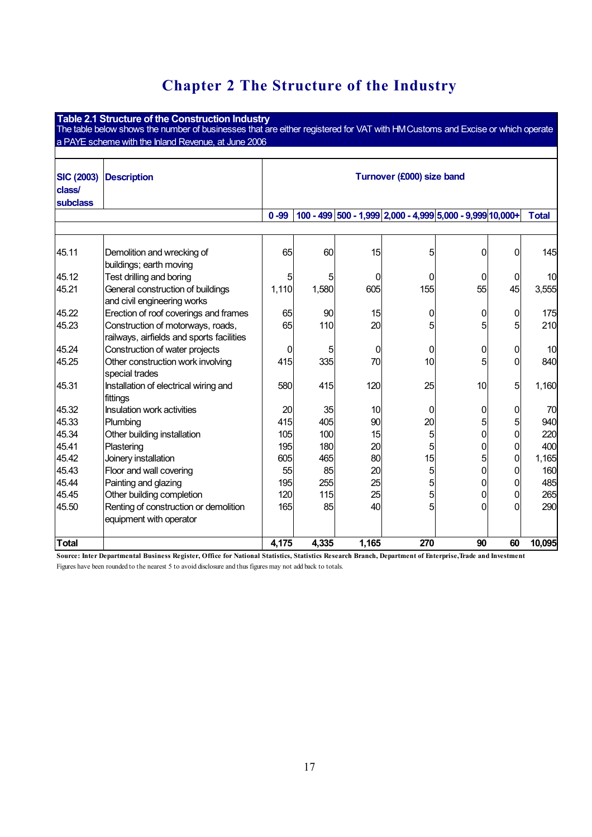# **Chapter 2 The Structure of the Industry**

|                                                | Table 2.1 Structure of the Construction Industry<br>The table below shows the number of businesses that are either registered for VAT with HM Customs and Excise or which operate<br>a PAYE scheme with the Inland Revenue, at June 2006 |          |       |       |                                                           |    |                 |              |  |  |  |  |
|------------------------------------------------|------------------------------------------------------------------------------------------------------------------------------------------------------------------------------------------------------------------------------------------|----------|-------|-------|-----------------------------------------------------------|----|-----------------|--------------|--|--|--|--|
| <b>SIC (2003)</b><br>class/<br><b>subclass</b> | <b>Description</b>                                                                                                                                                                                                                       |          |       |       | Turnover (£000) size band                                 |    |                 |              |  |  |  |  |
|                                                |                                                                                                                                                                                                                                          | $0 - 99$ |       |       | 100 - 499 500 - 1,999 2,000 - 4,999 5,000 - 9,999 10,000+ |    |                 | <b>Total</b> |  |  |  |  |
|                                                |                                                                                                                                                                                                                                          |          |       |       |                                                           |    |                 |              |  |  |  |  |
| 45.11                                          | Demolition and wrecking of<br>buildings; earth moving                                                                                                                                                                                    | 65       | 60    | 15    | 5                                                         | 0  | 0               | 145          |  |  |  |  |
| 45.12                                          | Test drilling and boring                                                                                                                                                                                                                 | 5        | 5     | 0     | 0                                                         | 0  | 0               | 10           |  |  |  |  |
| 45.21                                          | General construction of buildings<br>and civil engineering works                                                                                                                                                                         | 1,110    | 1,580 | 605   | 155                                                       | 55 | 45              | 3,555        |  |  |  |  |
| 45.22                                          | Erection of roof coverings and frames                                                                                                                                                                                                    | 65       | 90    | 15    | 0                                                         | 0  | $\overline{0}$  | 175          |  |  |  |  |
| 45.23                                          | Construction of motorways, roads,<br>railways, airfields and sports facilities                                                                                                                                                           | 65       | 110   | 20    | 5                                                         | 5  | 5               | 210          |  |  |  |  |
| 45.24                                          | Construction of water projects                                                                                                                                                                                                           | 0        | 5     | 0     | 0                                                         | 0  | 0               | 10           |  |  |  |  |
| 45.25                                          | Other construction work involving<br>special trades                                                                                                                                                                                      | 415      | 335   | 70    | 10                                                        | 5  | $\Omega$        | 840          |  |  |  |  |
| 45.31                                          | Installation of electrical wiring and<br>fittings                                                                                                                                                                                        | 580      | 415   | 120   | 25                                                        | 10 | 5               | 1,160        |  |  |  |  |
| 45.32                                          | Insulation work activities                                                                                                                                                                                                               | 20       | 35    | 10    | 0                                                         | 0  | $\overline{0}$  | 70           |  |  |  |  |
| 45.33                                          | Plumbing                                                                                                                                                                                                                                 | 415      | 405   | 90    | 20                                                        | 5  | $5\overline{a}$ | 940          |  |  |  |  |
| 45.34                                          | Other building installation                                                                                                                                                                                                              | 105      | 100   | 15    | 5                                                         | 0  | $\overline{0}$  | 220          |  |  |  |  |
| 45.41                                          | Plastering                                                                                                                                                                                                                               | 195      | 180   | 20    | 5                                                         | 0  | $\overline{0}$  | 400          |  |  |  |  |
| 45.42                                          | Joinery installation                                                                                                                                                                                                                     | 605      | 465   | 80    | 15                                                        | 5  | $\overline{0}$  | 1,165        |  |  |  |  |
| 45.43                                          | Floor and wall covering                                                                                                                                                                                                                  | 55       | 85    | 20    | 5                                                         | 0  | 0               | 160          |  |  |  |  |
| 45.44                                          | Painting and glazing                                                                                                                                                                                                                     | 195      | 255   | 25    | 5                                                         | 0  | 0               | 485          |  |  |  |  |
| 45.45                                          | Other building completion                                                                                                                                                                                                                | 120      | 115   | 25    | 5                                                         | 0  | 0               | 265          |  |  |  |  |
| 45.50                                          | Renting of construction or demolition<br>equipment with operator                                                                                                                                                                         | 165      | 85    | 40    | 5                                                         | 0  | $\Omega$        | 290          |  |  |  |  |
| Total                                          |                                                                                                                                                                                                                                          | 4,175    | 4,335 | 1,165 | 270                                                       | 90 | 60              | 10,095       |  |  |  |  |

 **Source: Inter Departmental Business Register, Office for National Statistics, Statistics Research Branch, Department of Enterprise,Trade and Investment** 

Figures have been rounded to the nearest 5 to avoid disclosure and thus figures may not add back to totals.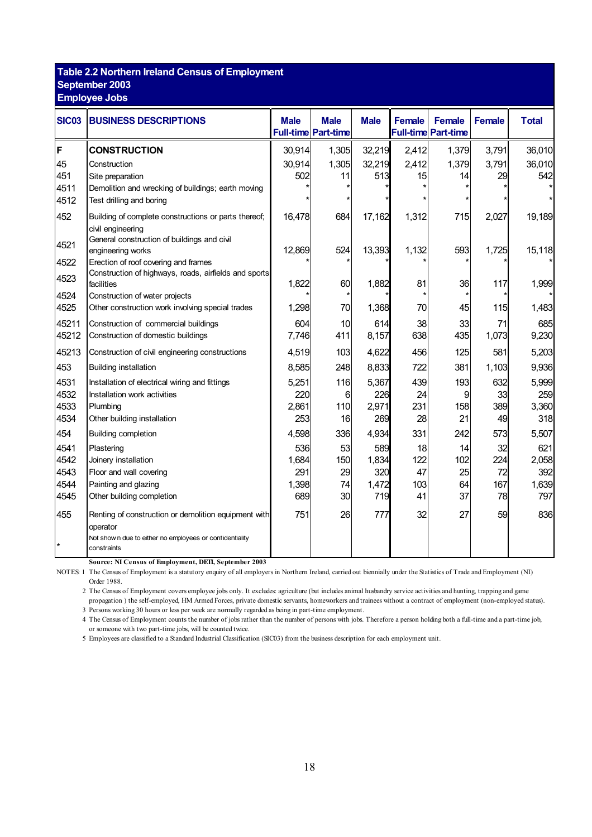### **Table 2.2 Northern Ireland Census of Employment September 2003**

**Employee Jobs** 

| <b>SIC03</b> | <b>BUSINESS DESCRIPTIONS</b>                                            | <b>Male</b> | <b>Male</b><br>Full-time Part-time | <b>Male</b> | <b>Female</b> | <b>Female</b><br><b>Full-time Part-time</b> | <b>Female</b> | <b>Total</b> |
|--------------|-------------------------------------------------------------------------|-------------|------------------------------------|-------------|---------------|---------------------------------------------|---------------|--------------|
| F            | <b>CONSTRUCTION</b>                                                     | 30,914      | 1,305                              | 32,219      | 2,412         | 1,379                                       | 3,791         | 36,010       |
| 45           | Construction                                                            | 30,914      | 1,305                              | 32,219      | 2,412         | 1,379                                       | 3,791         | 36,010       |
| 451          | Site preparation                                                        | 502         | 11                                 | 513         | 15            | 14                                          | 29            | 542          |
| 4511         | Demolition and wrecking of buildings; earth moving                      |             |                                    |             |               |                                             |               |              |
| 4512         | Test drilling and boring                                                |             |                                    |             |               |                                             |               |              |
| 452          | Building of complete constructions or parts thereof;                    | 16,478      | 684                                | 17,162      | 1,312         | 715                                         | 2,027         | 19,189       |
|              | civil engineering<br>General construction of buildings and civil        |             |                                    |             |               |                                             |               |              |
| 4521         | engineering works                                                       | 12,869      | 524                                | 13,393      | 1,132         | 593                                         | 1,725         | 15,118       |
| 4522         | Erection of roof covering and frames                                    |             |                                    |             |               |                                             |               |              |
| 4523         | Construction of highways, roads, airfields and sports<br>facilities     | 1,822       | 60                                 | 1,882       | 81            | 36                                          | 117           | 1,999        |
| 4524         | Construction of water projects                                          |             |                                    |             |               |                                             |               |              |
| 4525         | Other construction work involving special trades                        | 1,298       | 70                                 | 1,368       | 70            | 45                                          | 115           | 1,483        |
| 45211        | Construction of commercial buildings                                    | 604         | 10                                 | 614         | 38            | 33                                          | 71            | 685          |
| 45212        | Construction of domestic buildings                                      | 7,746       | 411                                | 8,157       | 638           | 435                                         | 1,073         | 9,230        |
| 45213        | Construction of civil engineering constructions                         | 4,519       | 103                                | 4,622       | 456           | 125                                         | 581           | 5,203        |
| 453          | <b>Building installation</b>                                            | 8,585       | 248                                | 8,833       | 722           | 381                                         | 1,103         | 9,936        |
| 4531         | Installation of electrical wiring and fittings                          | 5,251       | 116                                | 5,367       | 439           | 193                                         | 632           | 5,999        |
| 4532         | Installation work activities                                            | 220         | 6                                  | 226         | 24            | 9                                           | 33            | 259          |
| 4533         | Plumbing                                                                | 2,861       | 110                                | 2,971       | 231           | 158                                         | 389           | 3,360        |
| 4534         | Other building installation                                             | 253         | 16                                 | 269         | 28            | 21                                          | 49            | 318          |
| 454          | <b>Building completion</b>                                              | 4,598       | 336                                | 4,934       | 331           | 242                                         | 573           | 5,507        |
| 4541         | Plastering                                                              | 536         | 53                                 | 589         | 18            | 14                                          | 32            | 621          |
| 4542         | Joinery installation                                                    | 1,684       | 150                                | 1,834       | 122           | 102                                         | 224           | 2,058        |
| 4543         | Floor and wall covering                                                 | 291         | 29                                 | 320         | 47            | 25                                          | 72            | 392          |
| 4544         | Painting and glazing                                                    | 1,398       | 74                                 | 1,472       | 103           | 64                                          | 167           | 1,639        |
| 4545         | Other building completion                                               | 689         | 30                                 | 719         | 41            | 37                                          | 78            | 797          |
| 455          | Renting of construction or demolition equipment with<br>operator        | 751         | 26                                 | 777         | 32            | 27                                          | 59            | 836          |
|              | Not show n due to either no employees or confidentiality<br>constraints |             |                                    |             |               |                                             |               |              |

**Source: NI Census of Employment, DETI, September 2003** 

NOTES: 1 The Census of Employment is a statutory enquiry of all employers in Northern Ireland, carried out biennially under the Statistics of Trade and Employment (NI) Order 1988.

2 The Census of Employment covers employee jobs only. It excludes: agriculture (but includes animal husbandry service activities and hunting, trapping and game propagation) the self-employed, HM Armed Forces, private domestic servants, homeworkers and trainees without a contract of employment (non-employed status).

3 Persons working 30 hours or less per week are normally regarded as being in part-time employment.

4 The Census of Employment counts the number of jobs rather than the number of persons with jobs. Therefore a person holding both a full-time and a part-time job, or someone with two part-time jobs, will be counted twice.

5 Employees are classified to a Standard Industrial Classification (SIC03) from the business description for each employment unit.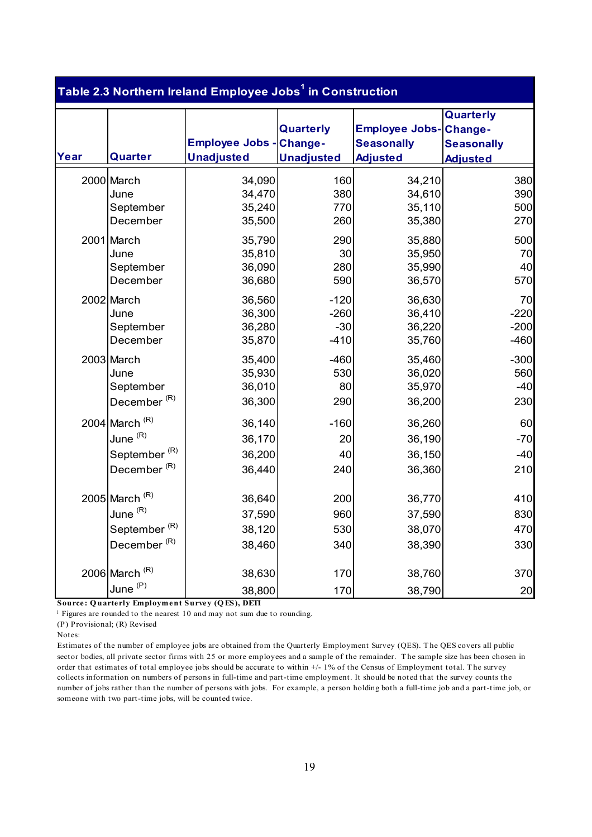|      |                          | Table 2.3 Northern Ireland Employee Jobs <sup>1</sup> in Construction |                                |                                                               |                                                              |
|------|--------------------------|-----------------------------------------------------------------------|--------------------------------|---------------------------------------------------------------|--------------------------------------------------------------|
| Year | Quarter                  | <b>Employee Jobs - Change-</b><br><b>Unadjusted</b>                   | Quarterly<br><b>Unadjusted</b> | <b>Employee Jobs-</b><br><b>Seasonally</b><br><b>Adjusted</b> | Quarterly<br>Change-<br><b>Seasonally</b><br><b>Adjusted</b> |
|      | 2000 March               | 34,090                                                                | 160                            | 34,210                                                        | 380                                                          |
|      | June                     | 34,470                                                                | 380                            | 34,610                                                        | 390                                                          |
|      | September                | 35,240                                                                | 770                            | 35,110                                                        | 500                                                          |
|      | December                 | 35,500                                                                | 260                            | 35,380                                                        | 270                                                          |
|      | 2001 March               | 35,790                                                                | 290                            | 35,880                                                        | 500                                                          |
|      | June                     | 35,810                                                                | 30                             | 35,950                                                        | 70                                                           |
|      | September                | 36,090                                                                | 280                            | 35,990                                                        | 40                                                           |
|      | December                 | 36,680                                                                | 590                            | 36,570                                                        | 570                                                          |
|      | 2002 March               | 36,560                                                                | $-120$                         | 36,630                                                        | 70                                                           |
|      | June                     | 36,300                                                                | $-260$                         | 36,410                                                        | $-220$                                                       |
|      | September                | 36,280                                                                | $-30$                          | 36,220                                                        | $-200$                                                       |
|      | December                 | 35,870                                                                | $-410$                         | 35,760                                                        | $-460$                                                       |
|      | 2003 March               | 35,400                                                                | $-460$                         | 35,460                                                        | $-300$                                                       |
|      | June                     | 35,930                                                                | 530                            | 36,020                                                        | 560                                                          |
|      | September                | 36,010                                                                | 80                             | 35,970                                                        | $-40$                                                        |
|      | December <sup>(R)</sup>  | 36,300                                                                | 290                            | 36,200                                                        | 230                                                          |
|      | 2004 March $(R)$         | 36,140                                                                | $-160$                         | 36,260                                                        | 60                                                           |
|      | June (R)                 | 36,170                                                                | 20                             | 36,190                                                        | $-70$                                                        |
|      | September <sup>(R)</sup> | 36,200                                                                | 40                             | 36,150                                                        | $-40$                                                        |
|      | December <sup>(R)</sup>  | 36,440                                                                | 240                            | 36,360                                                        | 210                                                          |
|      | 2005 March $(R)$         | 36,640                                                                | 200                            | 36,770                                                        | 410                                                          |
|      | June (R)                 | 37,590                                                                | 960                            | 37,590                                                        | 830                                                          |
|      | September $(R)$          | 38,120                                                                | 530                            | 38,070                                                        | 470                                                          |
|      | December <sup>(R)</sup>  | 38,460                                                                | 340                            | 38,390                                                        | 330                                                          |
|      | 2006 March $(R)$         | 38,630                                                                | 170                            | 38,760                                                        | 370                                                          |
|      | June <sup>(P)</sup>      | 38,800                                                                | 170                            | 38,790                                                        | 20                                                           |

 **Source: Q uarterly Employment Survey (Q ES), DETI** 

<sup>1</sup> Figures are rounded to the nearest 10 and may not sum due to rounding.

(P) Provisional; (R) Revised

Notes:

 Estimates of the number of employee jobs are obtained from the Quarterly Employment Survey (QES). T he QES covers all public sector bodies, all private sector firms with 25 or more employees and a sample of the remainder. The sample size has been chosen in order that estimates of total employee jobs should be accurate to within +/- 1% of the Census of Employment total. T he survey collects information on numbers of persons in full-time and part-time employment. It should be noted that the survey counts the number of jobs rather than the number of persons with jobs. For example, a person holding both a full-time job and a part-time job, or someone with two part-time jobs, will be counted twice.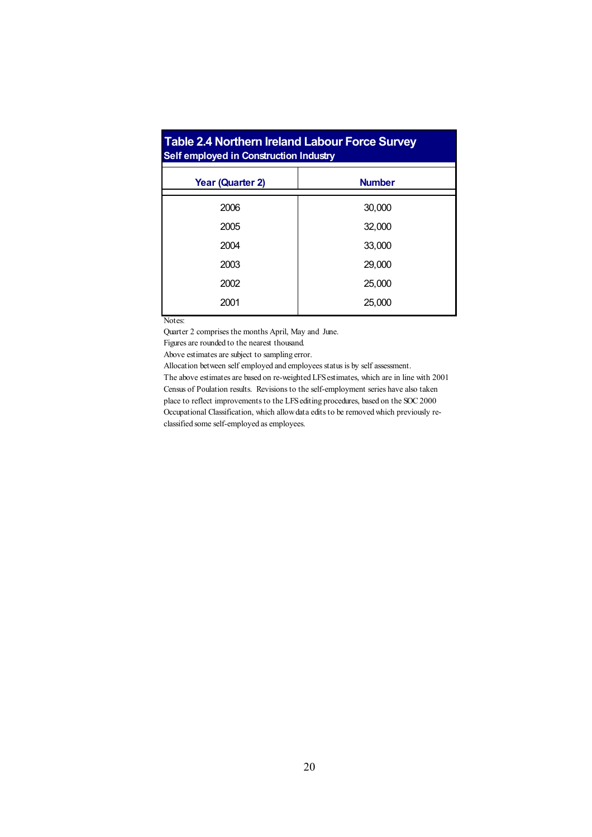| <b>Table 2.4 Northern Ireland Labour Force Survey</b><br>Self employed in Construction Industry |               |  |  |  |  |  |  |  |  |  |
|-------------------------------------------------------------------------------------------------|---------------|--|--|--|--|--|--|--|--|--|
| <b>Year (Quarter 2)</b>                                                                         | <b>Number</b> |  |  |  |  |  |  |  |  |  |
| 2006                                                                                            | 30,000        |  |  |  |  |  |  |  |  |  |
| 2005                                                                                            | 32,000        |  |  |  |  |  |  |  |  |  |
| 2004                                                                                            | 33,000        |  |  |  |  |  |  |  |  |  |
| 2003                                                                                            | 29,000        |  |  |  |  |  |  |  |  |  |
| 2002                                                                                            | 25,000        |  |  |  |  |  |  |  |  |  |
| 2001                                                                                            | 25,000        |  |  |  |  |  |  |  |  |  |

Notes:

Quarter 2 comprises the months April, May and June.

Figures are rounded to the nearest thousand.

Above estimates are subject to sampling error.

Allocation between self employed and employees status is by self assessment.

The above estimates are based on re-weighted LFS estimates, which are in line with 2001 Census of Poulation results. Revisions to the self-employment series have also taken place to reflect improvements to the LFS editing procedures, based on the SOC 2000 Occupational Classification, which allow data edits to be removed which previously reclassified some self-employed as employees.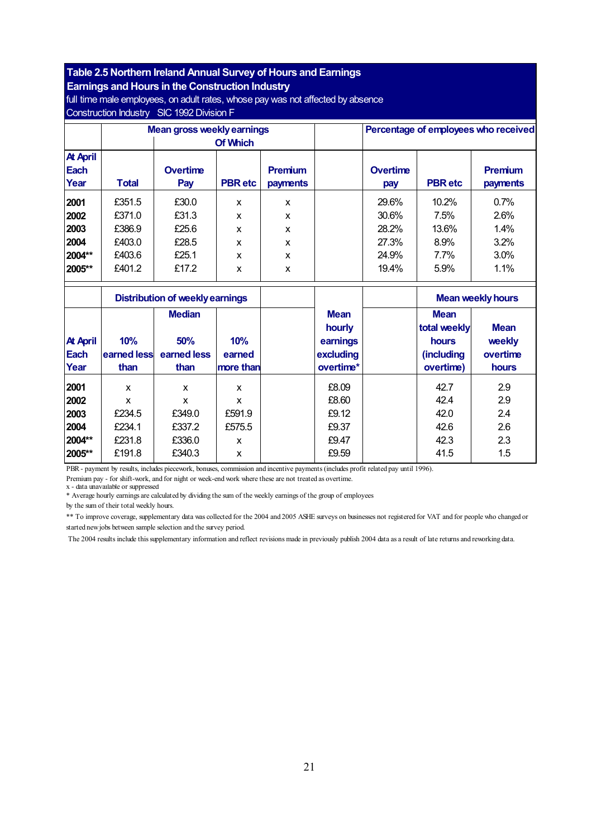#### **Table 2.5 Northern Ireland Annual Survey of Hours and Earnings**

**Earnings and Hours in the Construction Industry** 

full time male employees, on adult rates, whose pay was not affected by absence Construction Industry SIC 1992 Division F

|                 |              | <b>Mean gross weekly earnings</b>      |                 |              |             | Percentage of employees who received |                |                          |  |
|-----------------|--------------|----------------------------------------|-----------------|--------------|-------------|--------------------------------------|----------------|--------------------------|--|
|                 |              |                                        | <b>Of Which</b> |              |             |                                      |                |                          |  |
| <b>At April</b> |              |                                        |                 |              |             |                                      |                |                          |  |
| <b>Each</b>     |              | <b>Overtime</b>                        |                 | Premium      |             | <b>Overtime</b>                      |                | <b>Premium</b>           |  |
| Year            | <b>Total</b> | Pay                                    | <b>PBR</b> etc  | payments     |             | pay                                  | <b>PBR</b> etc | payments                 |  |
| 2001            | £351.5       | £30.0                                  | X               | $\mathsf{x}$ |             | 29.6%                                | 10.2%          | 0.7%                     |  |
| 2002            | £371.0       | £31.3                                  | X               | X            |             | 30.6%                                | 7.5%           | 2.6%                     |  |
| 2003            | £386.9       | £25.6                                  | $\mathbf{x}$    | X            |             | 28.2%                                | 13.6%          | 1.4%                     |  |
| 2004            | £403.0       | £28.5                                  | X               | X            |             | 27.3%                                | 8.9%           | 3.2%                     |  |
| 2004**          | £403.6       | £25.1                                  | X               | X            |             | 24.9%                                | 7.7%           | 3.0%                     |  |
| 2005**          | £401.2       | £17.2                                  | X               | X            |             | 19.4%                                | 5.9%           | 1.1%                     |  |
|                 |              | <b>Distribution of weekly earnings</b> |                 |              |             |                                      |                | <b>Mean weekly hours</b> |  |
|                 |              | <b>Median</b>                          |                 |              | <b>Mean</b> |                                      | <b>Mean</b>    |                          |  |
|                 |              |                                        |                 |              | hourly      |                                      | total weekly   | <b>Mean</b>              |  |
| <b>At April</b> | 10%          | 50%                                    | 10%             |              | earnings    |                                      | hours          | weekly                   |  |
| <b>Each</b>     | earned less  | earned less                            | earned          |              | excluding   |                                      | (including     | overtime                 |  |
| Year            | than         | than                                   | more than       |              | overtime*   |                                      | overtime)      | hours                    |  |
| 2001            | X            | X                                      | X               |              | £8.09       |                                      | 42.7           | 2.9                      |  |
| 2002            | X            | X                                      | X               |              | £8.60       |                                      | 42.4           | 2.9                      |  |
| 2003            | £234.5       | £349.0                                 | £591.9          |              | £9.12       |                                      | 42.0           | 2.4                      |  |

PBR - payment by results, includes piecework, bonuses, commission and incentive payments (includes profit related pay until 1996).

Premium pay - for shift-work, and for night or week-end work where these are not treated as overtime.

x - data unavailable or suppressed

\* Average hourly earnings are calculated by dividing the sum of the weekly earnings of the group of employees

by the sum of their total weekly hours.

 \*\* To improve coverage, supplementary data was collected for the 2004 and 2005 ASHE surveys on businesses not registered for VAT and for people who changed or started new jobs between sample selection and the survey period.

The 2004 results include this supplementary information and reflect revisions made in previously publish 2004 data as a result of late returns and reworking data.

**2004** £234.1 £337.2 £575.5 £9.37 42.6 2.6 **2004\*\*** | £231.8 | £336.0 | x | | £9.47 | | 42.3 | 2.3 **2005\*\*** | £191.8 | £340.3 | x | | £9.59 | | 41.5 | 1.5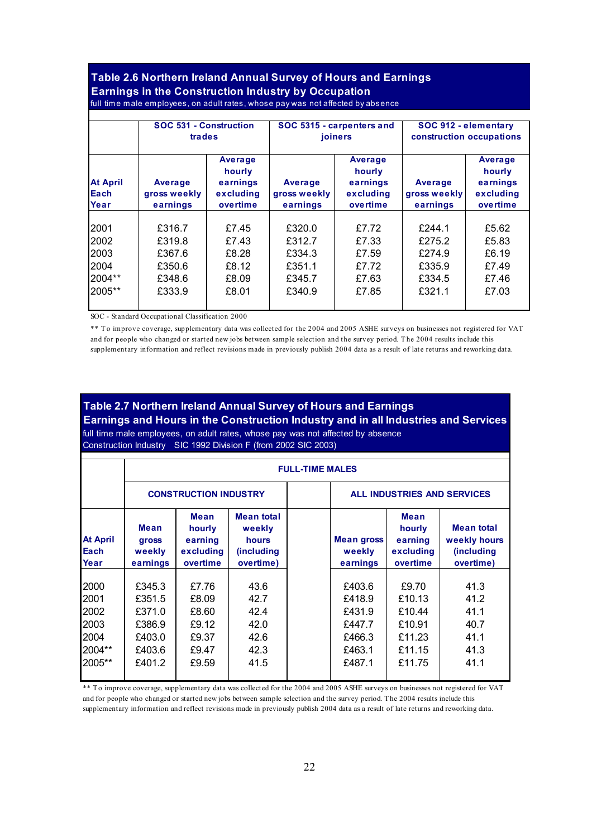## **Table 2.6 Northern Ireland Annual Survey of Hours and Earnings Earnings in the Construction Industry by Occupation**

|                                 | SOC 531 - Construction<br>trades    |                                                        |                                     | SOC 5315 - carpenters and<br>joiners                   | SOC 912 - elementary<br>construction occupations |                                                        |  |
|---------------------------------|-------------------------------------|--------------------------------------------------------|-------------------------------------|--------------------------------------------------------|--------------------------------------------------|--------------------------------------------------------|--|
| <b>At April</b><br>Each<br>Year | Average<br>gross weekly<br>earnings | Average<br>hourly<br>earnings<br>excluding<br>overtime | Average<br>gross weekly<br>earnings | Average<br>hourly<br>earnings<br>excluding<br>overtime | Average<br>gross weekly<br>earnings              | Average<br>hourly<br>earnings<br>excluding<br>overtime |  |
|                                 |                                     |                                                        |                                     |                                                        |                                                  |                                                        |  |
| 2001                            | £316.7                              | £7.45                                                  | £320.0                              | £7.72                                                  | £244.1                                           | £5.62                                                  |  |
| 2002                            | £319.8                              | £7.43                                                  | £312.7                              | £7.33                                                  | £275.2                                           | £5.83                                                  |  |
| 2003                            | £367.6                              | £8.28                                                  | £334.3                              | £7.59                                                  | £274.9                                           | £6.19                                                  |  |
| 2004                            | £350.6                              | £8.12                                                  | £351.1                              | £7.72                                                  | £335.9                                           | £7.49                                                  |  |
| 2004**                          | £348.6                              | £8.09                                                  | £345.7                              | £7.63                                                  | £334.5                                           | £7.46                                                  |  |
| 2005**                          | £333.9                              | £8.01                                                  | £340.9                              | £7.85                                                  | £321.1                                           | £7.03                                                  |  |

- full time m ale em ployees, on adult rates, whose pay was not affected by absence

SOC - Standard Occupational Classification 2000

\*\* T o improve coverage, supplementary data was collected for the 2004 and 2005 ASHE surveys on businesses not registered for VAT and for people who changed or started new jobs between sample selection and the survey period. T he 2004 results include this supplementary information and reflect revisions made in previously publish 2004 data as a result of late returns and reworking data.

#### **Table 2.7 Northern Ireland Annual Survey of Hours and Earnings**

 **Earnings and Hours in the Construction Industry and in all Industries and Services**  full time male employees, on adult rates, whose pay was not affected by absence

- Construction Industry SIC 1992 Division F (from 2002 SIC 2003)

|                                  |                                            | <b>FULL-TIME MALES</b>                                    |                                                                         |  |                                         |                                                    |                                                                      |  |  |
|----------------------------------|--------------------------------------------|-----------------------------------------------------------|-------------------------------------------------------------------------|--|-----------------------------------------|----------------------------------------------------|----------------------------------------------------------------------|--|--|
|                                  |                                            | <b>CONSTRUCTION INDUSTRY</b>                              |                                                                         |  | ALL INDUSTRIES AND SERVICES             |                                                    |                                                                      |  |  |
| <b>At April</b><br>Each<br>Year  | <b>Mean</b><br>gross<br>weekly<br>earnings | <b>Mean</b><br>hourly<br>earning<br>excluding<br>overtime | <b>Mean total</b><br>weekly<br>hours<br><i>(including)</i><br>overtime) |  | <b>Mean gross</b><br>weekly<br>earnings | Mean<br>hourly<br>earning<br>excluding<br>overtime | <b>Mean total</b><br>weekly hours<br><i>(including)</i><br>overtime) |  |  |
| 2000<br>2001<br>2002             | £345.3<br>£351.5<br>£371.0                 | £7.76<br>£8.09<br>£8.60                                   | 43.6<br>42.7<br>42.4                                                    |  | £403.6<br>£418.9<br>£431.9              | £9.70<br>£10.13<br>£10.44                          | 41.3<br>41.2<br>41.1                                                 |  |  |
| 2003<br>2004<br>2004**<br>2005** | £386.9<br>£403.0<br>£403.6<br>£401.2       | £9.12<br>£9.37<br>£9.47<br>£9.59                          | 42.0<br>42.6<br>42.3<br>41.5                                            |  | £447.7<br>£466.3<br>£463.1<br>£487.1    | £10.91<br>£11.23<br>£11.15<br>£11.75               | 40.7<br>41.1<br>41.3<br>41.1                                         |  |  |

\*\* To improve coverage, supplementary data was collected for the 2004 and 2005 ASHE surveys on businesses not registered for VAT and for people who changed or started new jobs between sample selection and the survey period. The 2004 results include this supplementary information and reflect revisions made in previously publish 2004 data as a result of late returns and reworking data.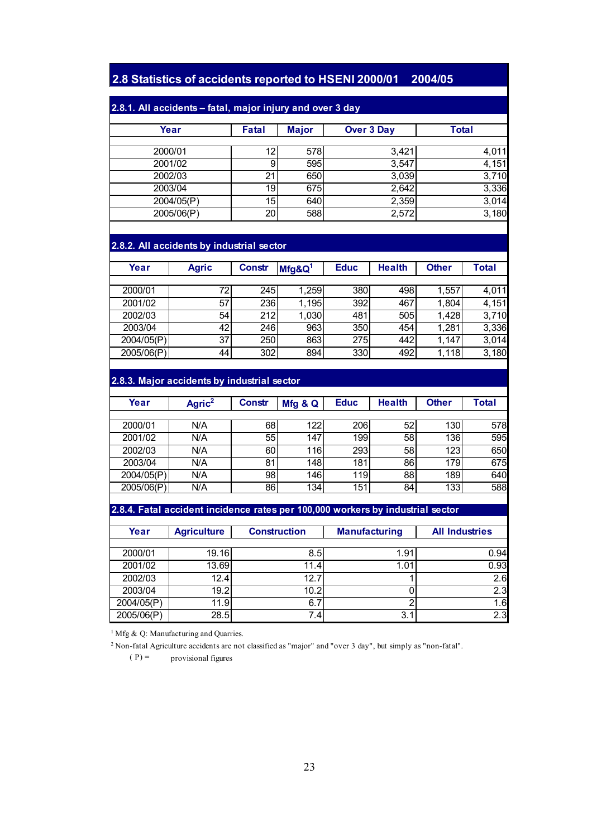### **– 2.8 Statistics of accidents reported to HSENI 2000/01 2004/05**

### **2.8.1. All accidents – fatal, major injury and over 3 day**

| Year       | <b>Fatal</b>    | <b>Major</b> | <b>Over 3 Day</b> | <b>Total</b> |
|------------|-----------------|--------------|-------------------|--------------|
|            |                 |              |                   |              |
| 2000/01    | 12 <sub>1</sub> | 578          | 3,421             | 4,011        |
| 2001/02    | 9               | 595          | 3,547             | 4,151        |
| 2002/03    | 21              | 650          | 3,039             | 3,710        |
| 2003/04    | 19              | 675          | 2,642             | 3,336        |
| 2004/05(P) | 15I             | 640          | 2,359             | 3,014        |
| 2005/06(P) | 20              | 588          | 2,572             | 3,180        |

#### **2.8.2. All accidents by industrial sector**

| Year       | <b>Agric</b> | <b>Constr</b> | $Mfg\&Q1$ | <b>Educ</b> | <b>Health</b> | <b>Other</b> | Total |
|------------|--------------|---------------|-----------|-------------|---------------|--------------|-------|
|            |              |               |           |             |               |              |       |
| 2000/01    | 72           | 245I          | 1,259     | 380         | 498           | 1,557        | 4,011 |
| 2001/02    | 57           | 236           | 1,195     | 392         | 467           | 1,804        | 4,151 |
| 2002/03    | 54           | 212           | 1,030     | 481         | 505           | 1,428        | 3,710 |
| 2003/04    | 42           | 246           | 963       | 350         | 454           | 1,281        | 3,336 |
| 2004/05(P) | 37           | 250           | 863       | 275         | 442           | 1.147        | 3,014 |
| 2005/06(P) | 44           | 302           | 894       | 330         | 492           | 1,118        | 3,180 |

#### **2.8.3. Major accidents by industrial sector**

| Year       | Agric <sup>2</sup> | <b>Constr</b> | Mfg & Q | <b>Educ</b> | <b>Health</b> | <b>Other</b>     | Total |
|------------|--------------------|---------------|---------|-------------|---------------|------------------|-------|
|            |                    |               |         |             |               |                  |       |
| 2000/01    | N/A                | 681           | 122     | 206         | 52            | 130 <sub>1</sub> | 578   |
| 2001/02    | N/A                | 55            | 147     | 199         | 58            | 136              | 595   |
| 2002/03    | N/A                | 60            | 116l    | 293         | 58            | 123              | 650   |
| 2003/04    | N/A                | 81            | 148l    | 181         | 86            | 179              | 675   |
| 2004/05(P) | N/A                | 98            | 146     | 119         | 88            | 189              | 640   |
| 2005/06(P) | N/A                | 86            | 134     | 151         | 84            | 133              | 588   |

#### **2.8.4. Fatal accident incidence rates per 100,000 workers by industrial sector**

| Year       | <b>Agriculture</b> | <b>Construction</b> | <b>Manufacturing</b> | <b>All Industries</b> |
|------------|--------------------|---------------------|----------------------|-----------------------|
|            |                    |                     |                      |                       |
| 2000/01    | 19.16              | 8.5                 | 1.91                 | 0.94                  |
| 2001/02    | 13.69              | 11.41               | 1.01                 | 0.93                  |
| 2002/03    | 12.4               | 12.7                |                      | 2.6                   |
| 2003/04    | 19.2               | 10.2                |                      | 2.3                   |
| 2004/05(P) | 11.9               | 6.7                 |                      | 1.6                   |
| 2005/06(P) | 28.5               | 7.4                 | 3.1                  | 2.3                   |

<sup>1</sup> Mfg & Q: Manufacturing and Quarries.

2 Non-fatal Agriculture accidents are not classified as "major" and "over 3 day", but simply as "non-fatal".

 $(P)$  = provisional figures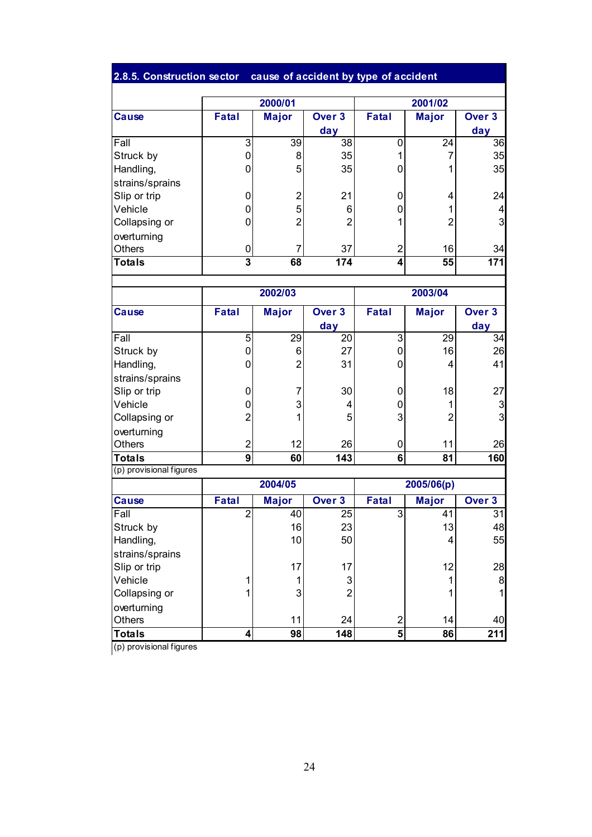#### **– 2.8.5. Construction sector cause of accident by type of accident**

|                 |              | 2000/01      |                   |       | 2001/02         |                   |  |
|-----------------|--------------|--------------|-------------------|-------|-----------------|-------------------|--|
| <b>Cause</b>    | <b>Fatal</b> | <b>Major</b> | Over <sub>3</sub> | Fatal | <b>Major</b>    | Over <sub>3</sub> |  |
|                 |              |              | day               |       |                 | day               |  |
| Fall            | 3            | 39           | 38                | 0     | $\overline{24}$ | 36                |  |
| Struck by       | 0            | 8            | 35                |       |                 | 35                |  |
| Handling,       | 0            | 5            | 35                | 0     |                 | 35                |  |
| strains/sprains |              |              |                   |       |                 |                   |  |
| Slip or trip    | 0            | っ            | 21                | 0     | 4               | 24                |  |
| Vehicle         | 0            | 5            | 6                 | 0     |                 | 4                 |  |
| Collapsing or   | 0            | 2            | $\overline{2}$    |       | $\overline{c}$  | 3                 |  |
| overturning     |              |              |                   |       |                 |                   |  |
| Others          | 0            |              | 37                | 2     | 16              | 34                |  |
| <b>Totals</b>   | 3            | 68           | 174               | 4     | 55              | 171               |  |

|                         |                | 2002/03        |                   | 2003/04      |              |                   |
|-------------------------|----------------|----------------|-------------------|--------------|--------------|-------------------|
| <b>Cause</b>            | <b>Fatal</b>   | <b>Major</b>   | Over <sub>3</sub> | <b>Fatal</b> | <b>Major</b> | Over <sub>3</sub> |
|                         |                |                | day               |              |              | day               |
| Fall                    | 5              | 29             | 20                | 3            | 29           | 34                |
| Struck by               | 0              | 6              | 27                | 0            | 16           | 26                |
| Handling,               | 0              | $\overline{2}$ | 31                | 0            | 4            | 41                |
| strains/sprains         |                |                |                   |              |              |                   |
| Slip or trip            | 0              |                | 30                | 0            | 18           | 27                |
| Vehicle                 | 0              | 3              | 4                 | 0            |              | 3                 |
| Collapsing or           | $\mathcal{P}$  |                | 5                 | 3            | 2            | 3                 |
| overturning             |                |                |                   |              |              |                   |
| <b>Others</b>           | $\overline{2}$ | 12             | 26                | 0            | 11           | 26                |
| <b>Totals</b>           | 9              | 60             | 143               | 6            | 81           | 160               |
| (p) provisional figures |                |                |                   |              |              |                   |

|                 |              | 2004/05         |                   |              | 2005/06(p)   |        |
|-----------------|--------------|-----------------|-------------------|--------------|--------------|--------|
| Cause           | <b>Fatal</b> | <b>Major</b>    | Over <sub>3</sub> | <b>Fatal</b> | <b>Major</b> | Over 3 |
| Fall            |              | 40              | 25                | 3            | 41           | 31     |
| Struck by       |              | 16              | 23                |              | 13           | 48     |
| Handling,       |              | 10 <sup>1</sup> | 50                |              | 4            | 55     |
| strains/sprains |              |                 |                   |              |              |        |
| Slip or trip    |              | 17 <sup>1</sup> | 17                |              | 12           | 28     |
| Vehicle         |              |                 | 3                 |              |              | 8      |
| Collapsing or   |              | 3 <sub>l</sub>  | ົ                 |              |              |        |
| overturning     |              |                 |                   |              |              |        |
| Others          |              | 11              | 24                | 2            | 14           | 40     |
| <b>Totals</b>   |              | 98              | 148               | 5            | 86           | 211    |

(p) provisional figures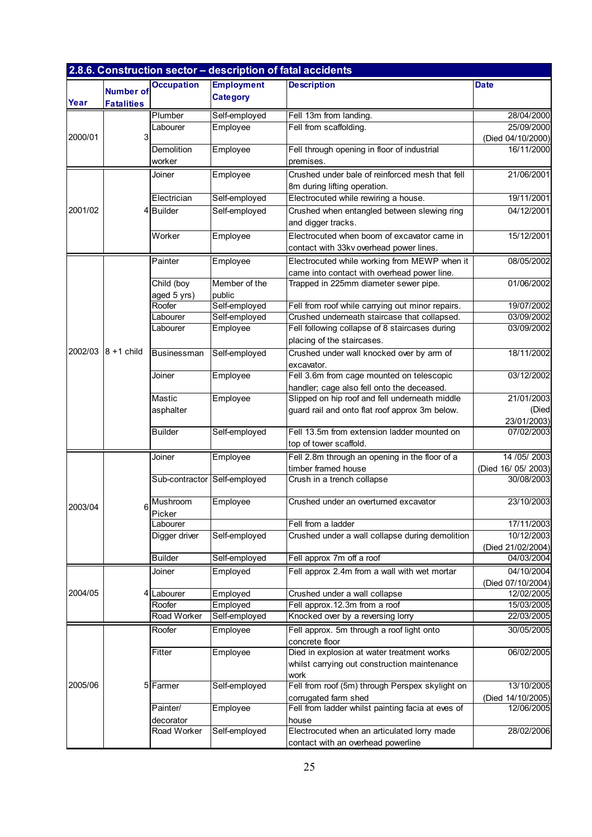|         |                                       |                              |                                      | 2.8.6. Construction sector - description of fatal accidents                                      |                                 |
|---------|---------------------------------------|------------------------------|--------------------------------------|--------------------------------------------------------------------------------------------------|---------------------------------|
| Year    | <b>Number of</b><br><b>Fatalities</b> | <b>Occupation</b>            | <b>Employment</b><br><b>Category</b> | <b>Description</b>                                                                               | <b>Date</b>                     |
|         |                                       | Plumber                      | Self-employed                        | Fell 13m from landing.                                                                           | 28/04/2000                      |
|         |                                       | Labourer                     | Employee                             | Fell from scaffolding.                                                                           | 25/09/2000                      |
| 2000/01 | 31                                    |                              |                                      |                                                                                                  | (Died 04/10/2000)               |
|         |                                       | Demolition                   | Employee                             | Fell through opening in floor of industrial                                                      | 16/11/2000                      |
|         |                                       | worker                       |                                      | premises.                                                                                        |                                 |
|         |                                       | Joiner                       | Employee                             | Crushed under bale of reinforced mesh that fell                                                  | 21/06/2001                      |
|         |                                       |                              |                                      | 8m during lifting operation.                                                                     |                                 |
|         |                                       | Electrician                  | Self-employed                        | Electrocuted while rewiring a house.                                                             | 19/11/2001                      |
| 2001/02 |                                       | 4Builder                     | Self-employed                        | Crushed when entangled between slewing ring                                                      | 04/12/2001                      |
|         |                                       |                              |                                      | and digger tracks.                                                                               |                                 |
|         |                                       | Worker                       | Employee                             | Electrocuted when boom of excavator came in                                                      | 15/12/2001                      |
|         |                                       |                              |                                      | contact with 33kv overhead power lines.                                                          |                                 |
|         |                                       | Painter                      | Employee                             | Electrocuted while working from MEWP when it                                                     | 08/05/2002                      |
|         |                                       |                              |                                      | came into contact with overhead power line.                                                      |                                 |
|         |                                       | Child (boy                   | Member of the                        | Trapped in 225mm diameter sewer pipe.                                                            | 01/06/2002                      |
|         |                                       | aged 5 yrs)                  | public                               |                                                                                                  |                                 |
|         |                                       | Roofer                       | Self-employed                        | Fell from roof while carrying out minor repairs.<br>Crushed underneath staircase that collapsed. | 19/07/2002                      |
|         |                                       | Labourer<br>Labourer         | Self-employed<br>Employee            | Fell following collapse of 8 staircases during                                                   | 03/09/2002<br>03/09/2002        |
|         |                                       |                              |                                      | placing of the staircases.                                                                       |                                 |
| 2002/03 | $8 + 1$ child                         | Businessman                  | Self-employed                        | Crushed under wall knocked over by arm of                                                        | 18/11/2002                      |
|         |                                       |                              |                                      | excavator.                                                                                       |                                 |
|         |                                       | Joiner                       | Employee                             | Fell 3.6m from cage mounted on telescopic                                                        | 03/12/2002                      |
|         |                                       |                              |                                      | handler; cage also fell onto the deceased.                                                       |                                 |
|         |                                       | Mastic                       | Employee                             | Slipped on hip roof and fell underneath middle                                                   | 21/01/2003                      |
|         |                                       | asphalter                    |                                      | guard rail and onto flat roof approx 3m below.                                                   | (Died                           |
|         |                                       |                              |                                      |                                                                                                  | 23/01/2003)                     |
|         |                                       | <b>Builder</b>               | Self-employed                        | Fell 13.5m from extension ladder mounted on                                                      | 07/02/2003                      |
|         |                                       |                              |                                      | top of tower scaffold.                                                                           |                                 |
|         |                                       | Joiner                       | Employee                             | Fell 2.8m through an opening in the floor of a                                                   | 14 / 05 / 2003                  |
|         |                                       |                              |                                      | timber framed house                                                                              | (Died 16/ 05/ 2003)             |
|         |                                       | Sub-contractor Self-employed |                                      | Crush in a trench collapse                                                                       | 30/08/2003                      |
| 2003/04 | 6                                     | Mushroom                     | Employee                             | Crushed under an overturned excavator                                                            | 23/10/2003                      |
|         |                                       | Picker                       |                                      |                                                                                                  |                                 |
|         |                                       | Labourer                     |                                      | Fell from a ladder                                                                               | 17/11/2003                      |
|         |                                       | Digger driver                | Self-employed                        | Crushed under a wall collapse during demolition                                                  | 10/12/2003                      |
|         |                                       | <b>Builder</b>               | Self-employed                        | Fell approx 7m off a roof                                                                        | (Died 21/02/2004)<br>04/03/2004 |
|         |                                       |                              |                                      |                                                                                                  |                                 |
|         |                                       | Joiner                       | Employed                             | Fell approx 2.4m from a wall with wet mortar                                                     | 04/10/2004                      |
| 2004/05 | 4                                     | Labourer                     | Employed                             | Crushed under a wall collapse                                                                    | (Died 07/10/2004)<br>12/02/2005 |
|         |                                       | Roofer                       | Employed                             | Fell approx.12.3m from a roof                                                                    | 15/03/2005                      |
|         |                                       | Road Worker                  | Self-employed                        | Knocked over by a reversing lorry                                                                | 22/03/2005                      |
|         |                                       | Roofer                       | Employee                             | Fell approx. 5m through a roof light onto                                                        | 30/05/2005                      |
|         |                                       |                              |                                      | concrete floor                                                                                   |                                 |
|         |                                       | Fitter                       | Employee                             | Died in explosion at water treatment works                                                       | 06/02/2005                      |
|         |                                       |                              |                                      | whilst carrying out construction maintenance                                                     |                                 |
|         |                                       |                              |                                      | work                                                                                             |                                 |
| 2005/06 | 51                                    | Farmer                       | Self-employed                        | Fell from roof (5m) through Perspex skylight on                                                  | 13/10/2005                      |
|         |                                       |                              |                                      | corrugated farm shed                                                                             | (Died 14/10/2005)               |
|         |                                       | Painter/                     | Employee                             | Fell from ladder whilst painting facia at eves of                                                | 12/06/2005                      |
|         |                                       | decorator<br>Road Worker     | Self-employed                        | house<br>Electrocuted when an articulated lorry made                                             | 28/02/2006                      |
|         |                                       |                              |                                      | contact with an overhead powerline                                                               |                                 |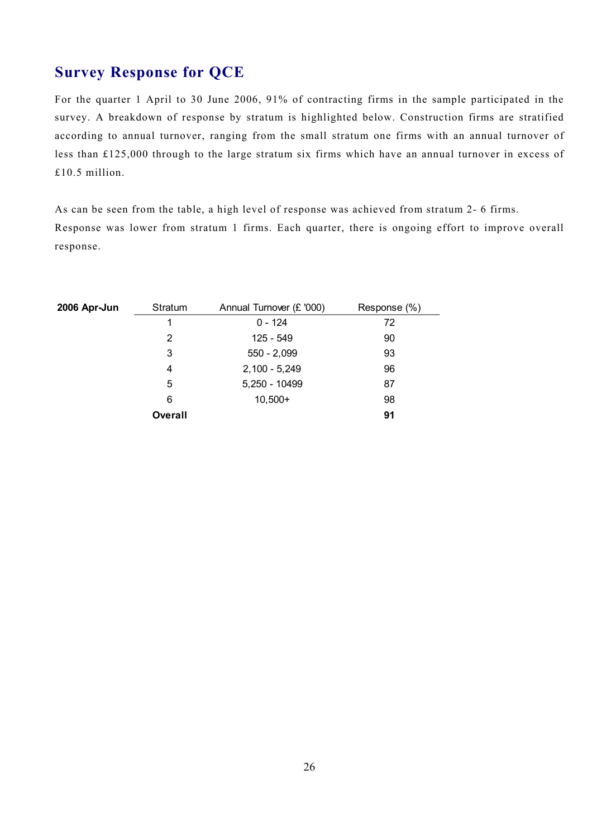## **Survey Response for QCE**

For the quarter 1 April to 30 June 2006, 91% of contracting firms in the sample participated in the survey. A breakdown of response by stratum is highlighted below. Construction firms are stratified according to annual turnover, ranging from the small stratum one firms with an annual turnover of less than £125,000 through to the large stratum six firms which have an annual turnover in excess of £10.5 million.

 As can be seen from the table, a high level of response was achieved from stratum 2- 6 firms. Response was lower from stratum 1 firms. Each quarter, there is ongoing effort to improve overall response.

| 2006 Apr-Jun | Stratum | Annual Turnover (£ '000) | Response (%) |
|--------------|---------|--------------------------|--------------|
|              | 1       | $0 - 124$                | 72           |
|              | 2       | 125 - 549                | 90           |
|              | 3       | $550 - 2,099$            | 93           |
|              | 4       | $2,100 - 5,249$          | 96           |
|              | 5       | 5,250 - 10499            | 87           |
|              | 6       | $10,500+$                | 98           |
|              | Overall |                          | 91           |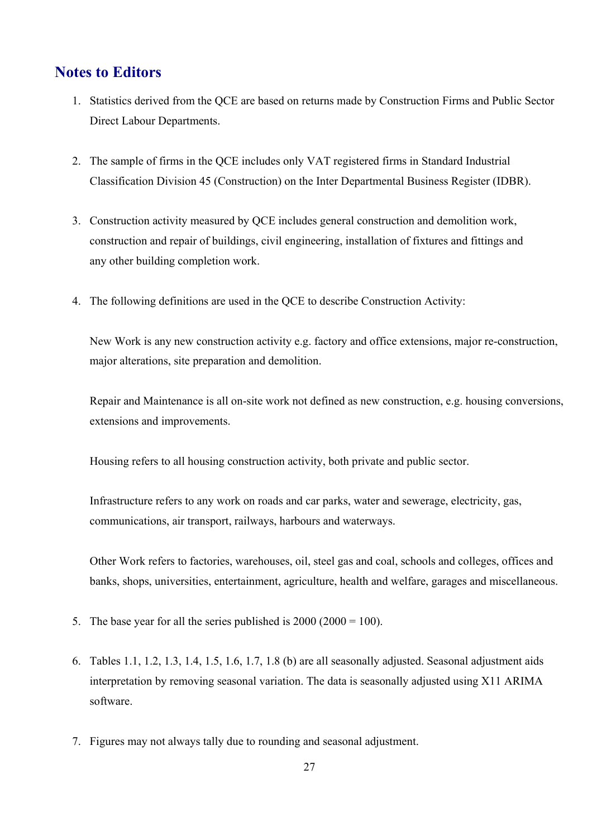### **Notes to Editors**

- 1. Statistics derived from the QCE are based on returns made by Construction Firms and Public Sector Direct Labour Departments.
- 2. The sample of firms in the QCE includes only VAT registered firms in Standard Industrial Classification Division 45 (Construction) on the Inter Departmental Business Register (IDBR).
- 3. Construction activity measured by QCE includes general construction and demolition work, construction and repair of buildings, civil engineering, installation of fixtures and fittings and any other building completion work.
- 4. The following definitions are used in the QCE to describe Construction Activity:

New Work is any new construction activity e.g. factory and office extensions, major re-construction, major alterations, site preparation and demolition.

Repair and Maintenance is all on-site work not defined as new construction, e.g. housing conversions, extensions and improvements.

Housing refers to all housing construction activity, both private and public sector.

 Infrastructure refers to any work on roads and car parks, water and sewerage, electricity, gas, communications, air transport, railways, harbours and waterways.

Other Work refers to factories, warehouses, oil, steel gas and coal, schools and colleges, offices and banks, shops, universities, entertainment, agriculture, health and welfare, garages and miscellaneous.

- 5. The base year for all the series published is  $2000 (2000 = 100)$ .
- interpretation by removing seasonal variation. The data is seasonally adjusted using X11 ARIMA 6. Tables 1.1, 1.2, 1.3, 1.4, 1.5, 1.6, 1.7, 1.8 (b) are all seasonally adjusted. Seasonal adjustment aids software.
- 7. Figures may not always tally due to rounding and seasonal adjustment.